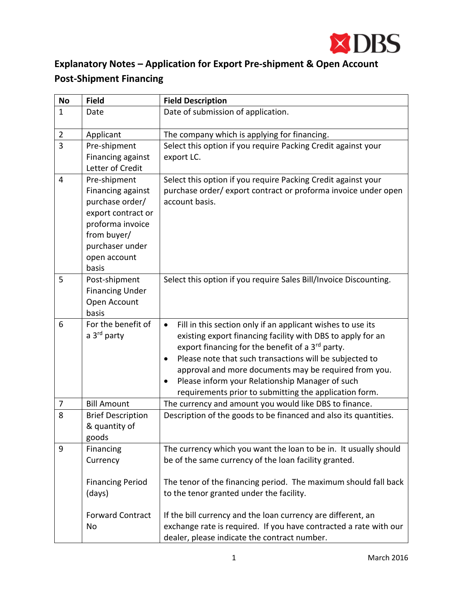

## **Explanatory Notes – Application for Export Pre-shipment & Open Account Post-Shipment Financing**

| <b>No</b>      | <b>Field</b>             | <b>Field Description</b>                                                 |
|----------------|--------------------------|--------------------------------------------------------------------------|
| $\mathbf{1}$   | Date                     | Date of submission of application.                                       |
| $\overline{2}$ | Applicant                | The company which is applying for financing.                             |
| 3              | Pre-shipment             | Select this option if you require Packing Credit against your            |
|                | Financing against        | export LC.                                                               |
|                | Letter of Credit         |                                                                          |
| $\overline{4}$ | Pre-shipment             | Select this option if you require Packing Credit against your            |
|                | Financing against        | purchase order/ export contract or proforma invoice under open           |
|                | purchase order/          | account basis.                                                           |
|                | export contract or       |                                                                          |
|                | proforma invoice         |                                                                          |
|                | from buyer/              |                                                                          |
|                | purchaser under          |                                                                          |
|                | open account             |                                                                          |
|                | basis                    |                                                                          |
| 5              | Post-shipment            | Select this option if you require Sales Bill/Invoice Discounting.        |
|                | <b>Financing Under</b>   |                                                                          |
|                | Open Account             |                                                                          |
|                | basis                    |                                                                          |
| 6              | For the benefit of       | Fill in this section only if an applicant wishes to use its<br>$\bullet$ |
|                | a 3 <sup>rd</sup> party  | existing export financing facility with DBS to apply for an              |
|                |                          | export financing for the benefit of a 3rd party.                         |
|                |                          | Please note that such transactions will be subjected to<br>٠             |
|                |                          | approval and more documents may be required from you.                    |
|                |                          | Please inform your Relationship Manager of such<br>$\bullet$             |
|                |                          | requirements prior to submitting the application form.                   |
| $\overline{7}$ | <b>Bill Amount</b>       | The currency and amount you would like DBS to finance.                   |
| 8              | <b>Brief Description</b> | Description of the goods to be financed and also its quantities.         |
|                | & quantity of            |                                                                          |
|                | goods                    |                                                                          |
| 9              | Financing                | The currency which you want the loan to be in. It usually should         |
|                | Currency                 | be of the same currency of the loan facility granted.                    |
|                |                          |                                                                          |
|                | <b>Financing Period</b>  | The tenor of the financing period. The maximum should fall back          |
|                | (days)                   | to the tenor granted under the facility.                                 |
|                | <b>Forward Contract</b>  | If the bill currency and the loan currency are different, an             |
|                | No                       | exchange rate is required. If you have contracted a rate with our        |
|                |                          | dealer, please indicate the contract number.                             |